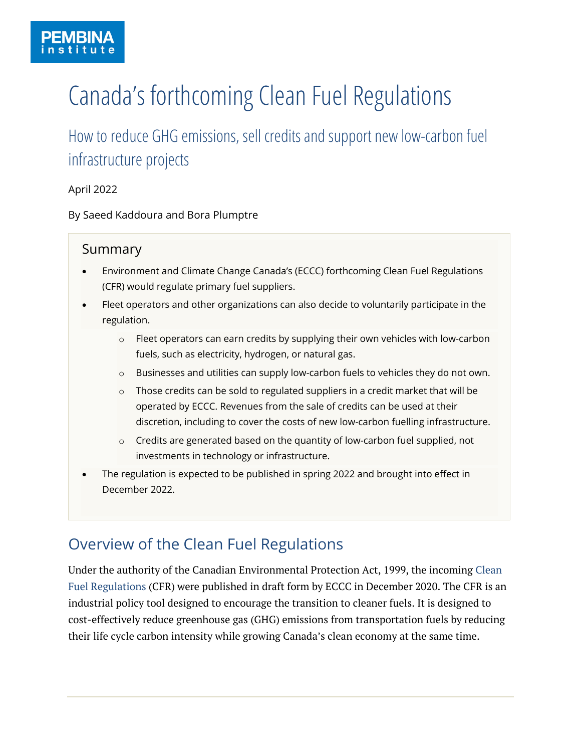# Canada's forthcoming Clean Fuel Regulations

How to reduce GHG emissions, sell credits and support new low-carbon fuel infrastructure projects

April 2022

By Saeed Kaddoura and Bora Plumptre

### Summary

- Environment and Climate Change Canada's (ECCC) forthcoming Clean Fuel Regulations (CFR) would regulate primary fuel suppliers.
- Fleet operators and other organizations can also decide to voluntarily participate in the regulation.
	- $\circ$  Fleet operators can earn credits by supplying their own vehicles with low-carbon fuels, such as electricity, hydrogen, or natural gas.
	- o Businesses and utilities can supply low-carbon fuels to vehicles they do not own.
	- o Those credits can be sold to regulated suppliers in a credit market that will be operated by ECCC. Revenues from the sale of credits can be used at their discretion, including to cover the costs of new low-carbon fuelling infrastructure.
	- $\circ$  Credits are generated based on the quantity of low-carbon fuel supplied, not investments in technology or infrastructure.
- The regulation is expected to be published in spring 2022 and brought into effect in December 2022.

# Overview of the Clean Fuel Regulations

Under the authority of the Canadian Environmental Protection Act, 1999, the incoming [Clean](https://gazette.gc.ca/rp-pr/p1/2020/2020-12-19/html/reg2-eng.html)  [Fuel Regulations](https://gazette.gc.ca/rp-pr/p1/2020/2020-12-19/html/reg2-eng.html) (CFR) were published in draft form by ECCC in December 2020. The CFR is an industrial policy tool designed to encourage the transition to cleaner fuels. It is designed to cost-effectively reduce greenhouse gas (GHG) emissions from transportation fuels by reducing their life cycle carbon intensity while growing Canada's clean economy at the same time.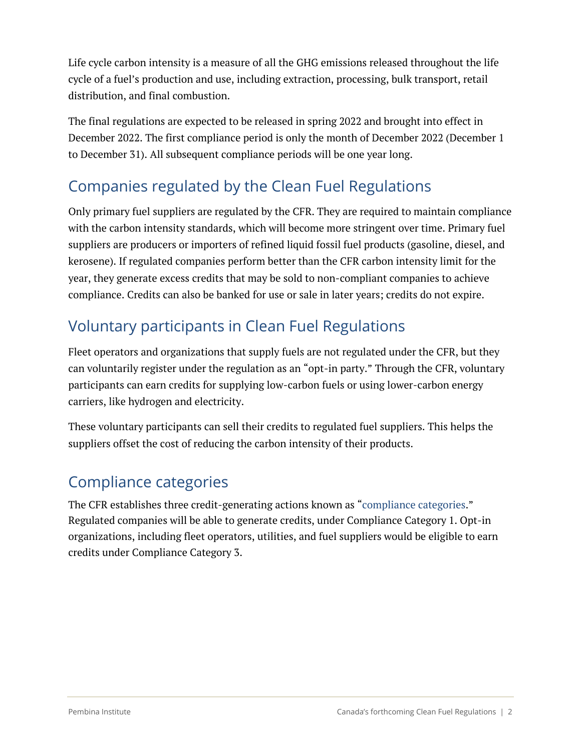Life cycle carbon intensity is a measure of all the GHG emissions released throughout the life cycle of a fuel's production and use, including extraction, processing, bulk transport, retail distribution, and final combustion.

The final regulations are expected to be released in spring 2022 and brought into effect in December 2022. The first compliance period is only the month of December 2022 (December 1 to December 31). All subsequent compliance periods will be one year long.

# Companies regulated by the Clean Fuel Regulations

Only primary fuel suppliers are regulated by the CFR. They are required to maintain compliance with the carbon intensity standards, which will become more stringent over time. Primary fuel suppliers are producers or importers of refined liquid fossil fuel products (gasoline, diesel, and kerosene). If regulated companies perform better than the CFR carbon intensity limit for the year, they generate excess credits that may be sold to non-compliant companies to achieve compliance. Credits can also be banked for use or sale in later years; credits do not expire.

# Voluntary participants in Clean Fuel Regulations

Fleet operators and organizations that supply fuels are not regulated under the CFR, but they can voluntarily register under the regulation as an "opt-in party." Through the CFR, voluntary participants can earn credits for supplying low-carbon fuels or using lower-carbon energy carriers, like hydrogen and electricity.

These voluntary participants can sell their credits to regulated fuel suppliers. This helps the suppliers offset the cost of reducing the carbon intensity of their products.

### Compliance categories

The CFR establishes three credit-generating actions known as ["compliance categories.](https://gazette.gc.ca/rp-pr/p1/2020/2020-12-19/html/reg2-eng.html)" Regulated companies will be able to generate credits, under Compliance Category 1. Opt-in organizations, including fleet operators, utilities, and fuel suppliers would be eligible to earn credits under Compliance Category 3.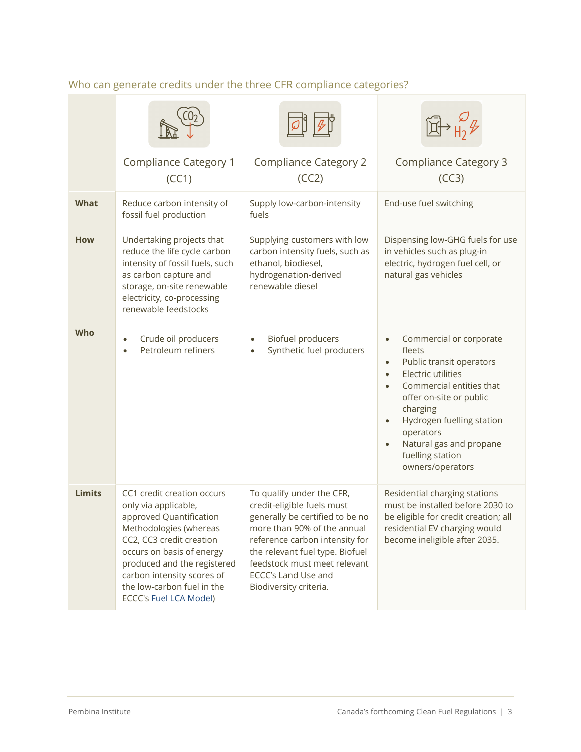|               | <b>Compliance Category 1</b><br>(CC1)                                                                                                                                                                                                                                                        | <b>Compliance Category 2</b><br>(CC2)                                                                                                                                                                                                                                                  | <b>Compliance Category 3</b><br>(CC3)                                                                                                                                                                                                                                                                                                |
|---------------|----------------------------------------------------------------------------------------------------------------------------------------------------------------------------------------------------------------------------------------------------------------------------------------------|----------------------------------------------------------------------------------------------------------------------------------------------------------------------------------------------------------------------------------------------------------------------------------------|--------------------------------------------------------------------------------------------------------------------------------------------------------------------------------------------------------------------------------------------------------------------------------------------------------------------------------------|
| <b>What</b>   | Reduce carbon intensity of<br>fossil fuel production                                                                                                                                                                                                                                         | Supply low-carbon-intensity<br>fuels                                                                                                                                                                                                                                                   | End-use fuel switching                                                                                                                                                                                                                                                                                                               |
| <b>How</b>    | Undertaking projects that<br>reduce the life cycle carbon<br>intensity of fossil fuels, such<br>as carbon capture and<br>storage, on-site renewable<br>electricity, co-processing<br>renewable feedstocks                                                                                    | Supplying customers with low<br>carbon intensity fuels, such as<br>ethanol, biodiesel,<br>hydrogenation-derived<br>renewable diesel                                                                                                                                                    | Dispensing low-GHG fuels for use<br>in vehicles such as plug-in<br>electric, hydrogen fuel cell, or<br>natural gas vehicles                                                                                                                                                                                                          |
| <b>Who</b>    | Crude oil producers<br>Petroleum refiners                                                                                                                                                                                                                                                    | <b>Biofuel producers</b><br>$\bullet$<br>Synthetic fuel producers<br>$\bullet$                                                                                                                                                                                                         | Commercial or corporate<br>$\bullet$<br>fleets<br>Public transit operators<br>$\bullet$<br>Electric utilities<br>$\bullet$<br>Commercial entities that<br>offer on-site or public<br>charging<br>Hydrogen fuelling station<br>$\bullet$<br>operators<br>Natural gas and propane<br>$\bullet$<br>fuelling station<br>owners/operators |
| <b>Limits</b> | CC1 credit creation occurs<br>only via applicable,<br>approved Quantification<br>Methodologies (whereas<br>CC2, CC3 credit creation<br>occurs on basis of energy<br>produced and the registered<br>carbon intensity scores of<br>the low-carbon fuel in the<br><b>ECCC's Fuel LCA Model)</b> | To qualify under the CFR,<br>credit-eligible fuels must<br>generally be certified to be no<br>more than 90% of the annual<br>reference carbon intensity for<br>the relevant fuel type. Biofuel<br>feedstock must meet relevant<br><b>ECCC's Land Use and</b><br>Biodiversity criteria. | Residential charging stations<br>must be installed before 2030 to<br>be eligible for credit creation; all<br>residential EV charging would<br>become ineligible after 2035.                                                                                                                                                          |

### Who can generate credits under the three CFR compliance categories?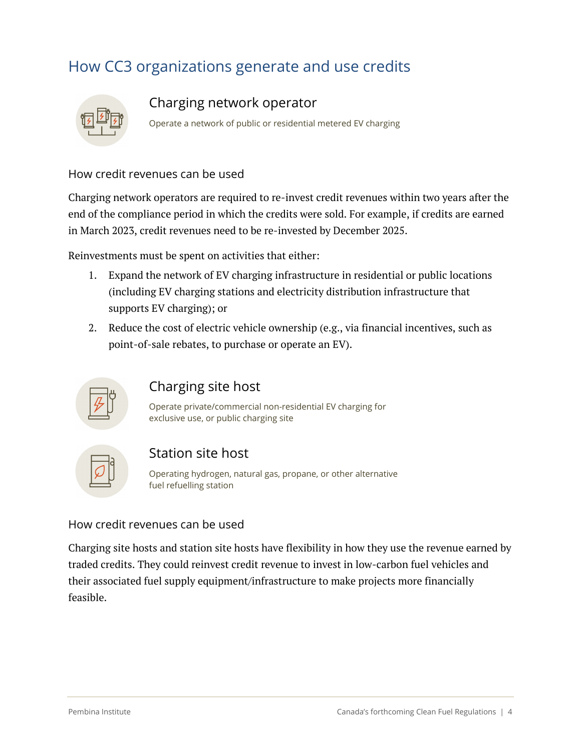# How CC3 organizations generate and use credits



#### Charging network operator

Operate a network of public or residential metered EV charging

#### How credit revenues can be used

Charging network operators are required to re-invest credit revenues within two years after the end of the compliance period in which the credits were sold. For example, if credits are earned in March 2023, credit revenues need to be re-invested by December 2025.

Reinvestments must be spent on activities that either:

- 1. Expand the network of EV charging infrastructure in residential or public locations (including EV charging stations and electricity distribution infrastructure that supports EV charging); or
- 2. Reduce the cost of electric vehicle ownership (e.g., via financial incentives, such as point-of-sale rebates, to purchase or operate an EV).



### Charging site host

Operate private/commercial non-residential EV charging for exclusive use, or public charging site



#### Station site host

Operating hydrogen, natural gas, propane, or other alternative fuel refuelling station

#### How credit revenues can be used

Charging site hosts and station site hosts have flexibility in how they use the revenue earned by traded credits. They could reinvest credit revenue to invest in low-carbon fuel vehicles and their associated fuel supply equipment/infrastructure to make projects more financially feasible.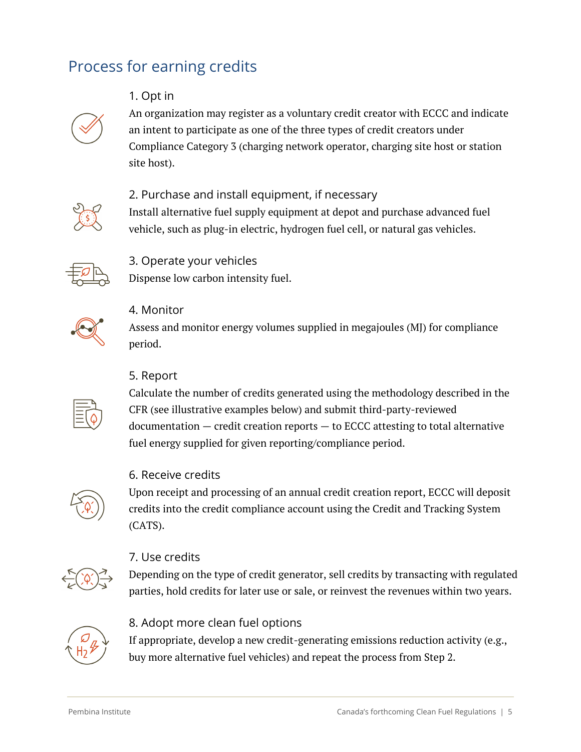## Process for earning credits

#### 1. Opt in



An organization may register as a voluntary credit creator with ECCC and indicate an intent to participate as one of the three types of credit creators under Compliance Category 3 (charging network operator, charging site host or station site host).



#### 2. Purchase and install equipment, if necessary

Install alternative fuel supply equipment at depot and purchase advanced fuel vehicle, such as plug-in electric, hydrogen fuel cell, or natural gas vehicles.



#### 3. Operate your vehicles

Dispense low carbon intensity fuel.



#### 4. Monitor

Assess and monitor energy volumes supplied in megajoules (MJ) for compliance period.

#### 5. Report

Calculate the number of credits generated using the methodology described in the CFR (see illustrative examples below) and submit third-party-reviewed documentation — credit creation reports — to ECCC attesting to total alternative fuel energy supplied for given reporting/compliance period.

#### 6. Receive credits

Upon receipt and processing of an annual credit creation report, ECCC will deposit credits into the credit compliance account using the Credit and Tracking System (CATS).



#### 7. Use credits

Depending on the type of credit generator, sell credits by transacting with regulated parties, hold credits for later use or sale, or reinvest the revenues within two years.



#### 8. Adopt more clean fuel options

If appropriate, develop a new credit-generating emissions reduction activity (e.g., buy more alternative fuel vehicles) and repeat the process from Step 2.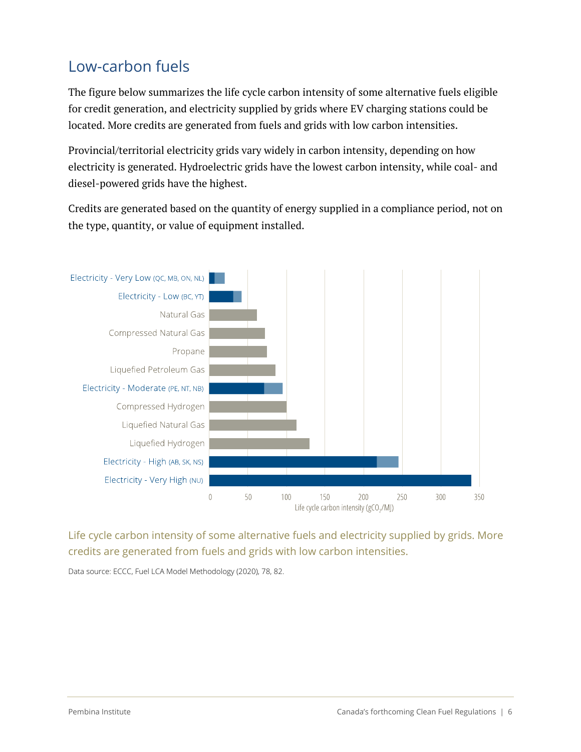# Low-carbon fuels

The figure below summarizes the life cycle carbon intensity of some alternative fuels eligible for credit generation, and electricity supplied by grids where EV charging stations could be located. More credits are generated from fuels and grids with low carbon intensities.

Provincial/territorial electricity grids vary widely in carbon intensity, depending on how electricity is generated. Hydroelectric grids have the lowest carbon intensity, while coal- and diesel-powered grids have the highest.

Credits are generated based on the quantity of energy supplied in a compliance period, not on the type, quantity, or value of equipment installed.



Life cycle carbon intensity of some alternative fuels and electricity supplied by grids. More credits are generated from fuels and grids with low carbon intensities.

Data source: ECCC, Fuel LCA Model Methodology (2020), 78, 82.